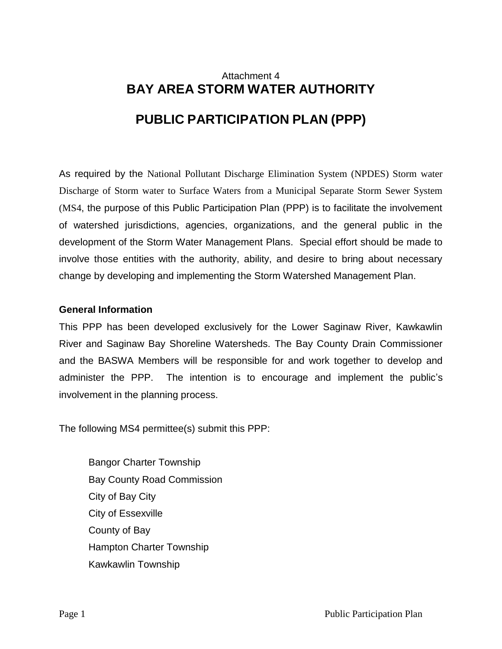# Attachment 4 **BAY AREA STORM WATER AUTHORITY PUBLIC PARTICIPATION PLAN (PPP)**

As required by the National Pollutant Discharge Elimination System (NPDES) Storm water Discharge of Storm water to Surface Waters from a Municipal Separate Storm Sewer System (MS4, the purpose of this Public Participation Plan (PPP) is to facilitate the involvement of watershed jurisdictions, agencies, organizations, and the general public in the development of the Storm Water Management Plans. Special effort should be made to involve those entities with the authority, ability, and desire to bring about necessary change by developing and implementing the Storm Watershed Management Plan.

### **General Information**

This PPP has been developed exclusively for the Lower Saginaw River, Kawkawlin River and Saginaw Bay Shoreline Watersheds. The Bay County Drain Commissioner and the BASWA Members will be responsible for and work together to develop and administer the PPP. The intention is to encourage and implement the public's involvement in the planning process.

The following MS4 permittee(s) submit this PPP:

Bangor Charter Township Bay County Road Commission City of Bay City City of Essexville County of Bay Hampton Charter Township Kawkawlin Township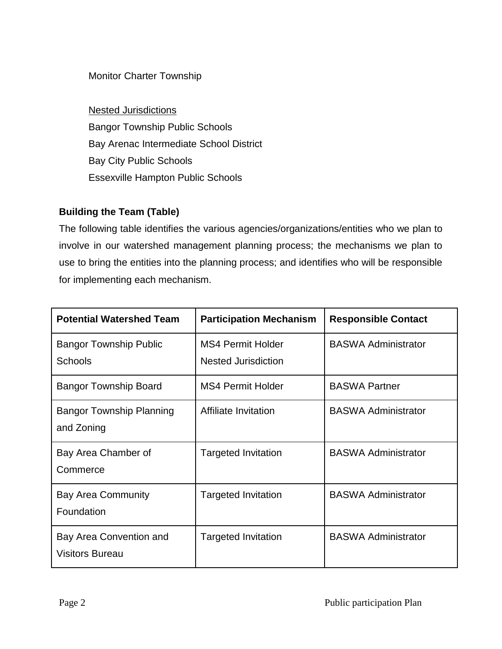# Monitor Charter Township

Nested Jurisdictions Bangor Township Public Schools Bay Arenac Intermediate School District Bay City Public Schools Essexville Hampton Public Schools

# **Building the Team (Table)**

The following table identifies the various agencies/organizations/entities who we plan to involve in our watershed management planning process; the mechanisms we plan to use to bring the entities into the planning process; and identifies who will be responsible for implementing each mechanism.

| <b>Potential Watershed Team</b>                   | <b>Participation Mechanism</b>                         | <b>Responsible Contact</b> |
|---------------------------------------------------|--------------------------------------------------------|----------------------------|
| <b>Bangor Township Public</b><br><b>Schools</b>   | <b>MS4 Permit Holder</b><br><b>Nested Jurisdiction</b> | <b>BASWA Administrator</b> |
| <b>Bangor Township Board</b>                      | <b>MS4 Permit Holder</b>                               | <b>BASWA Partner</b>       |
| <b>Bangor Township Planning</b><br>and Zoning     | Affiliate Invitation                                   | <b>BASWA Administrator</b> |
| Bay Area Chamber of<br>Commerce                   | <b>Targeted Invitation</b>                             | <b>BASWA Administrator</b> |
| <b>Bay Area Community</b><br>Foundation           | <b>Targeted Invitation</b>                             | <b>BASWA Administrator</b> |
| Bay Area Convention and<br><b>Visitors Bureau</b> | <b>Targeted Invitation</b>                             | <b>BASWA Administrator</b> |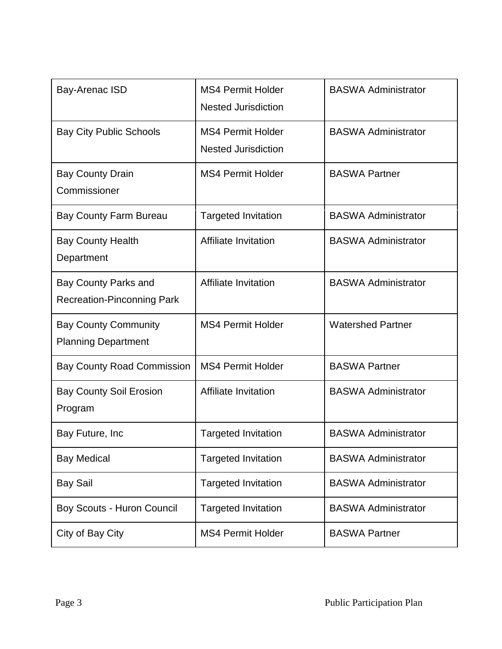| Bay-Arenac ISD                                                   | <b>MS4 Permit Holder</b><br><b>Nested Jurisdiction</b> | <b>BASWA Administrator</b> |
|------------------------------------------------------------------|--------------------------------------------------------|----------------------------|
| <b>Bay City Public Schools</b>                                   | <b>MS4 Permit Holder</b><br><b>Nested Jurisdiction</b> | <b>BASWA Administrator</b> |
| <b>Bay County Drain</b><br>Commissioner                          | <b>MS4 Permit Holder</b>                               | <b>BASWA Partner</b>       |
| <b>Bay County Farm Bureau</b>                                    | <b>Targeted Invitation</b>                             | <b>BASWA Administrator</b> |
| <b>Bay County Health</b><br>Department                           | <b>Affiliate Invitation</b>                            | <b>BASWA Administrator</b> |
| <b>Bay County Parks and</b><br><b>Recreation-Pinconning Park</b> | Affiliate Invitation                                   | <b>BASWA Administrator</b> |
| <b>Bay County Community</b><br><b>Planning Department</b>        | <b>MS4 Permit Holder</b>                               | <b>Watershed Partner</b>   |
| <b>Bay County Road Commission</b>                                | <b>MS4 Permit Holder</b>                               | <b>BASWA Partner</b>       |
| <b>Bay County Soil Erosion</b><br>Program                        | <b>Affiliate Invitation</b>                            | <b>BASWA Administrator</b> |
| Bay Future, Inc.                                                 | <b>Targeted Invitation</b>                             | <b>BASWA Administrator</b> |
| <b>Bay Medical</b>                                               | <b>Targeted Invitation</b>                             | <b>BASWA Administrator</b> |
| <b>Bay Sail</b>                                                  | <b>Targeted Invitation</b>                             | <b>BASWA Administrator</b> |
| Boy Scouts - Huron Council                                       | <b>Targeted Invitation</b>                             | <b>BASWA Administrator</b> |
| City of Bay City                                                 | <b>MS4 Permit Holder</b>                               | <b>BASWA Partner</b>       |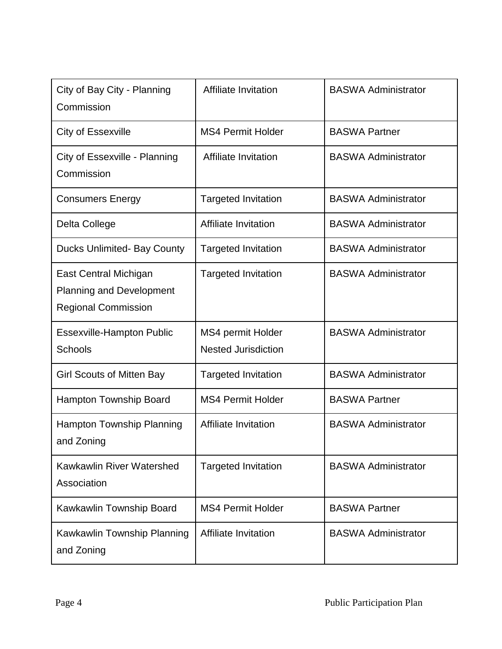| City of Bay City - Planning<br>Commission                                              | Affiliate Invitation                            | <b>BASWA Administrator</b> |
|----------------------------------------------------------------------------------------|-------------------------------------------------|----------------------------|
| <b>City of Essexville</b>                                                              | <b>MS4 Permit Holder</b>                        | <b>BASWA Partner</b>       |
| City of Essexville - Planning<br>Commission                                            | <b>Affiliate Invitation</b>                     | <b>BASWA Administrator</b> |
| <b>Consumers Energy</b>                                                                | <b>Targeted Invitation</b>                      | <b>BASWA Administrator</b> |
| Delta College                                                                          | Affiliate Invitation                            | <b>BASWA Administrator</b> |
| <b>Ducks Unlimited- Bay County</b>                                                     | <b>Targeted Invitation</b>                      | <b>BASWA Administrator</b> |
| East Central Michigan<br><b>Planning and Development</b><br><b>Regional Commission</b> | <b>Targeted Invitation</b>                      | <b>BASWA Administrator</b> |
| <b>Essexville-Hampton Public</b><br><b>Schools</b>                                     | MS4 permit Holder<br><b>Nested Jurisdiction</b> | <b>BASWA Administrator</b> |
| <b>Girl Scouts of Mitten Bay</b>                                                       | <b>Targeted Invitation</b>                      | <b>BASWA Administrator</b> |
| <b>Hampton Township Board</b>                                                          | <b>MS4 Permit Holder</b>                        | <b>BASWA Partner</b>       |
| Hampton Township Planning<br>and Zoning                                                | Affiliate Invitation                            | <b>BASWA Administrator</b> |
| <b>Kawkawlin River Watershed</b><br>Association                                        | <b>Targeted Invitation</b>                      | <b>BASWA Administrator</b> |
| Kawkawlin Township Board                                                               | <b>MS4 Permit Holder</b>                        | <b>BASWA Partner</b>       |
| Kawkawlin Township Planning<br>and Zoning                                              | Affiliate Invitation                            | <b>BASWA Administrator</b> |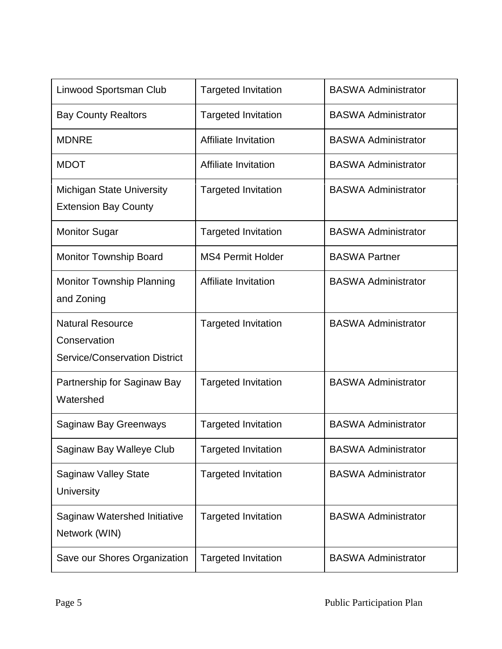| Linwood Sportsman Club                                                          | <b>Targeted Invitation</b> | <b>BASWA Administrator</b> |
|---------------------------------------------------------------------------------|----------------------------|----------------------------|
| <b>Bay County Realtors</b>                                                      | <b>Targeted Invitation</b> | <b>BASWA Administrator</b> |
| <b>MDNRE</b>                                                                    | Affiliate Invitation       | <b>BASWA Administrator</b> |
| <b>MDOT</b>                                                                     | Affiliate Invitation       | <b>BASWA Administrator</b> |
| <b>Michigan State University</b><br><b>Extension Bay County</b>                 | <b>Targeted Invitation</b> | <b>BASWA Administrator</b> |
| <b>Monitor Sugar</b>                                                            | <b>Targeted Invitation</b> | <b>BASWA Administrator</b> |
| <b>Monitor Township Board</b>                                                   | <b>MS4 Permit Holder</b>   | <b>BASWA Partner</b>       |
| <b>Monitor Township Planning</b><br>and Zoning                                  | Affiliate Invitation       | <b>BASWA Administrator</b> |
| <b>Natural Resource</b><br>Conservation<br><b>Service/Conservation District</b> | <b>Targeted Invitation</b> | <b>BASWA Administrator</b> |
| Partnership for Saginaw Bay<br>Watershed                                        | <b>Targeted Invitation</b> | <b>BASWA Administrator</b> |
| <b>Saginaw Bay Greenways</b>                                                    | <b>Targeted Invitation</b> | <b>BASWA Administrator</b> |
| Saginaw Bay Walleye Club                                                        | argeted Invitation         | <b>BASWA Administrator</b> |
| <b>Saginaw Valley State</b><br><b>University</b>                                | <b>Targeted Invitation</b> | <b>BASWA Administrator</b> |
| Saginaw Watershed Initiative<br>Network (WIN)                                   | <b>Targeted Invitation</b> | <b>BASWA Administrator</b> |
| Save our Shores Organization                                                    | <b>Targeted Invitation</b> | <b>BASWA Administrator</b> |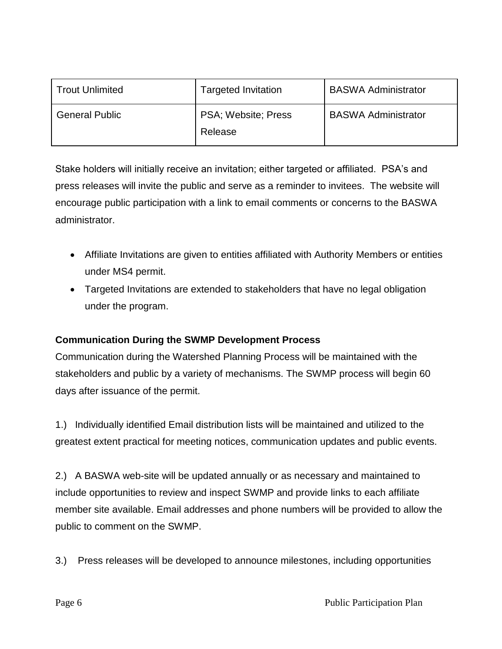| <b>Trout Unlimited</b> | <b>Targeted Invitation</b>     | <b>BASWA Administrator</b> |
|------------------------|--------------------------------|----------------------------|
| <b>General Public</b>  | PSA; Website; Press<br>Release | <b>BASWA Administrator</b> |

Stake holders will initially receive an invitation; either targeted or affiliated. PSA's and press releases will invite the public and serve as a reminder to invitees. The website will encourage public participation with a link to email comments or concerns to the BASWA administrator.

- Affiliate Invitations are given to entities affiliated with Authority Members or entities under MS4 permit.
- Targeted Invitations are extended to stakeholders that have no legal obligation under the program.

# **Communication During the SWMP Development Process**

Communication during the Watershed Planning Process will be maintained with the stakeholders and public by a variety of mechanisms. The SWMP process will begin 60 days after issuance of the permit.

1.) Individually identified Email distribution lists will be maintained and utilized to the greatest extent practical for meeting notices, communication updates and public events.

2.) A BASWA web-site will be updated annually or as necessary and maintained to include opportunities to review and inspect SWMP and provide links to each affiliate member site available. Email addresses and phone numbers will be provided to allow the public to comment on the SWMP.

3.) Press releases will be developed to announce milestones, including opportunities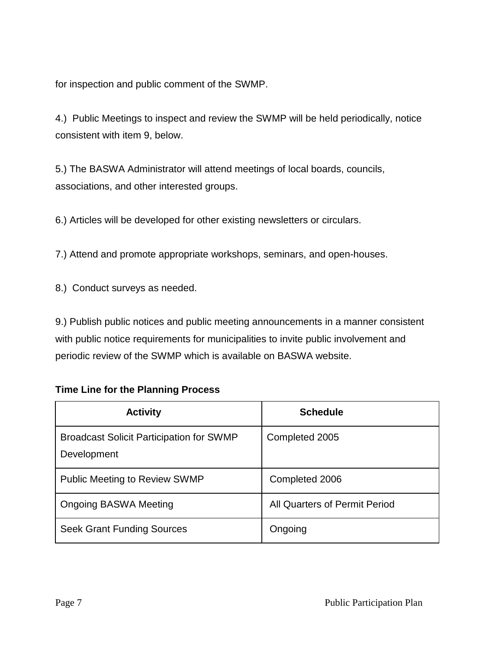for inspection and public comment of the SWMP.

4.) Public Meetings to inspect and review the SWMP will be held periodically, notice consistent with item 9, below.

5.) The BASWA Administrator will attend meetings of local boards, councils, associations, and other interested groups.

6.) Articles will be developed for other existing newsletters or circulars.

7.) Attend and promote appropriate workshops, seminars, and open-houses.

8.) Conduct surveys as needed.

9.) Publish public notices and public meeting announcements in a manner consistent with public notice requirements for municipalities to invite public involvement and periodic review of the SWMP which is available on BASWA website.

# **Time Line for the Planning Process**

| <b>Activity</b>                                                | <b>Schedule</b>               |
|----------------------------------------------------------------|-------------------------------|
| <b>Broadcast Solicit Participation for SWMP</b><br>Development | Completed 2005                |
| <b>Public Meeting to Review SWMP</b>                           | Completed 2006                |
| <b>Ongoing BASWA Meeting</b>                                   | All Quarters of Permit Period |
| <b>Seek Grant Funding Sources</b>                              | Ongoing                       |